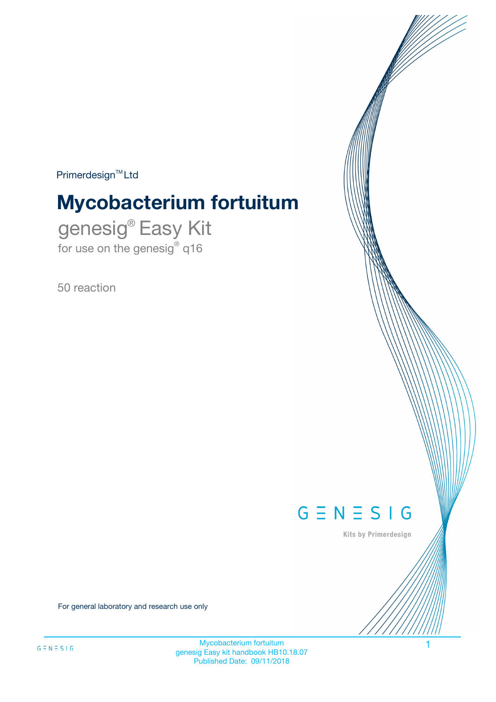$Primerdesign^{\text{TM}}Ltd$ 

# **Mycobacterium fortuitum**

genesig® Easy Kit for use on the genesig® q16

50 reaction



Kits by Primerdesign

For general laboratory and research use only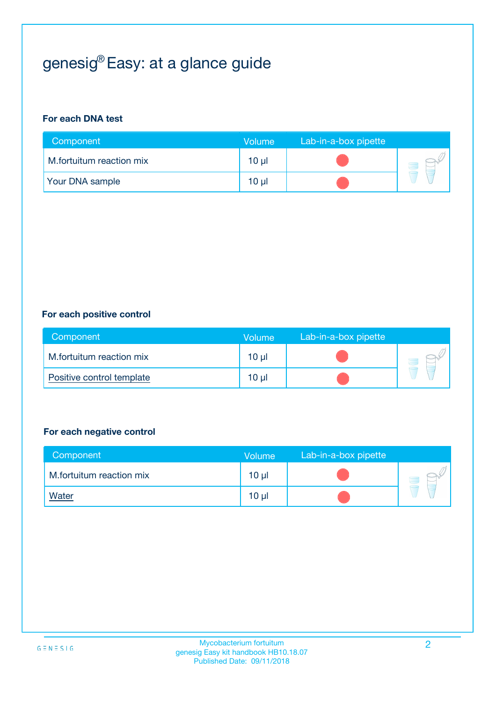## genesig® Easy: at a glance guide

#### **For each DNA test**

| Component                | <b>Volume</b> | Lab-in-a-box pipette |  |
|--------------------------|---------------|----------------------|--|
| M.fortuitum reaction mix | $10 \mu$      |                      |  |
| <b>Your DNA sample</b>   | 10 µl         |                      |  |

#### **For each positive control**

| Component                 | Volume          | Lab-in-a-box pipette |  |
|---------------------------|-----------------|----------------------|--|
| M.fortuitum reaction mix  | 10 <sub>µ</sub> |                      |  |
| Positive control template | 10 <sub>µ</sub> |                      |  |

#### **For each negative control**

| Component                | <b>Volume</b>   | Lab-in-a-box pipette |  |
|--------------------------|-----------------|----------------------|--|
| M.fortuitum reaction mix | 10 <sub>µ</sub> |                      |  |
| <u>Water</u>             | 10 <sub>µ</sub> |                      |  |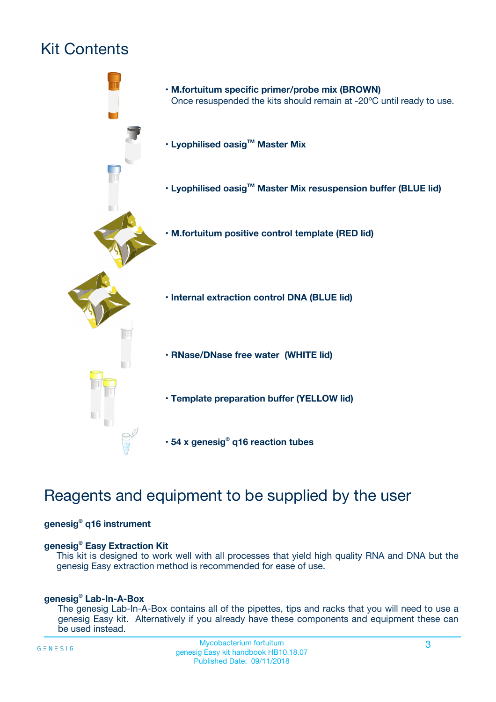## Kit Contents



## Reagents and equipment to be supplied by the user

#### **genesig® q16 instrument**

#### **genesig® Easy Extraction Kit**

This kit is designed to work well with all processes that yield high quality RNA and DNA but the genesig Easy extraction method is recommended for ease of use.

#### **genesig® Lab-In-A-Box**

The genesig Lab-In-A-Box contains all of the pipettes, tips and racks that you will need to use a genesig Easy kit. Alternatively if you already have these components and equipment these can be used instead.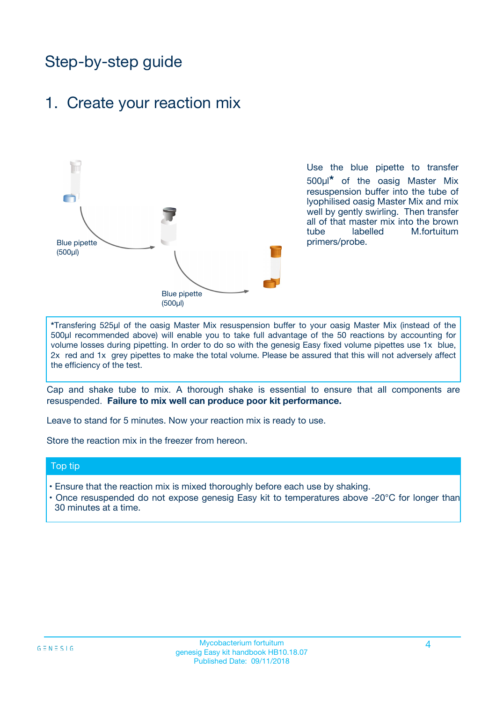## Step-by-step guide

### 1. Create your reaction mix



Use the blue pipette to transfer 500µl**\*** of the oasig Master Mix resuspension buffer into the tube of lyophilised oasig Master Mix and mix well by gently swirling. Then transfer all of that master mix into the brown tube labelled M.fortuitum primers/probe.

**\***Transfering 525µl of the oasig Master Mix resuspension buffer to your oasig Master Mix (instead of the 500µl recommended above) will enable you to take full advantage of the 50 reactions by accounting for volume losses during pipetting. In order to do so with the genesig Easy fixed volume pipettes use 1x blue, 2x red and 1x grey pipettes to make the total volume. Please be assured that this will not adversely affect the efficiency of the test.

Cap and shake tube to mix. A thorough shake is essential to ensure that all components are resuspended. **Failure to mix well can produce poor kit performance.**

Leave to stand for 5 minutes. Now your reaction mix is ready to use.

Store the reaction mix in the freezer from hereon.

#### Top tip

- Ensure that the reaction mix is mixed thoroughly before each use by shaking.
- **•** Once resuspended do not expose genesig Easy kit to temperatures above -20°C for longer than 30 minutes at a time.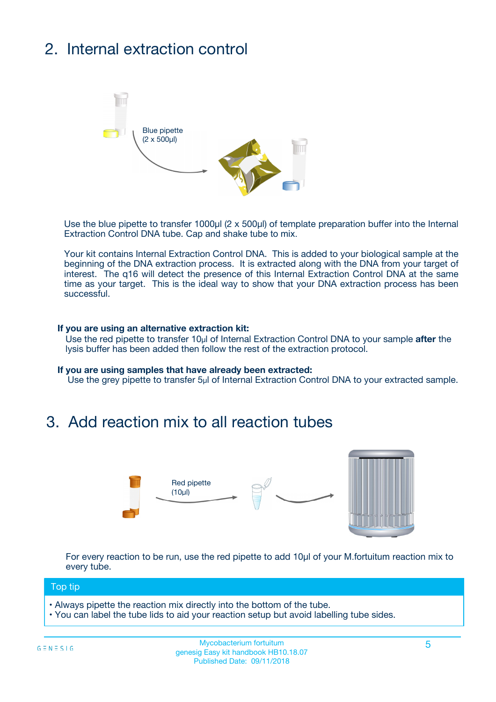## 2. Internal extraction control



Use the blue pipette to transfer 1000µl (2 x 500µl) of template preparation buffer into the Internal Extraction Control DNA tube. Cap and shake tube to mix.

Your kit contains Internal Extraction Control DNA. This is added to your biological sample at the beginning of the DNA extraction process. It is extracted along with the DNA from your target of interest. The q16 will detect the presence of this Internal Extraction Control DNA at the same time as your target. This is the ideal way to show that your DNA extraction process has been successful.

#### **If you are using an alternative extraction kit:**

Use the red pipette to transfer 10µl of Internal Extraction Control DNA to your sample **after** the lysis buffer has been added then follow the rest of the extraction protocol.

#### **If you are using samples that have already been extracted:**

Use the grey pipette to transfer 5µl of Internal Extraction Control DNA to your extracted sample.

### 3. Add reaction mix to all reaction tubes



For every reaction to be run, use the red pipette to add 10µl of your M.fortuitum reaction mix to every tube.

#### Top tip

- Always pipette the reaction mix directly into the bottom of the tube.
- You can label the tube lids to aid your reaction setup but avoid labelling tube sides.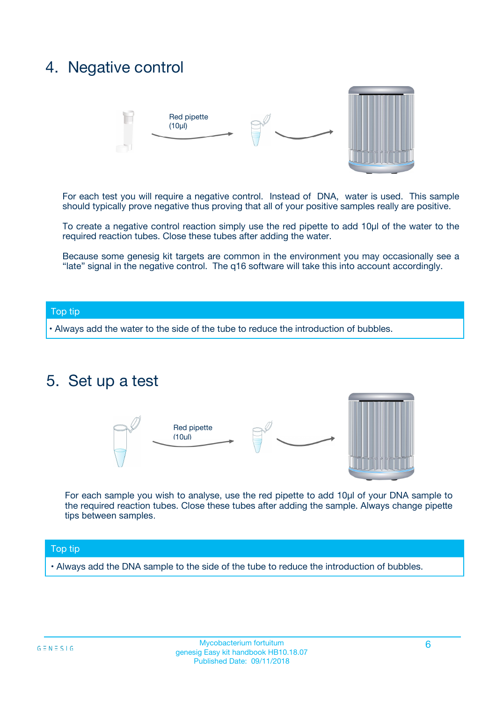### 4. Negative control



For each test you will require a negative control. Instead of DNA, water is used. This sample should typically prove negative thus proving that all of your positive samples really are positive.

To create a negative control reaction simply use the red pipette to add 10µl of the water to the required reaction tubes. Close these tubes after adding the water.

Because some genesig kit targets are common in the environment you may occasionally see a "late" signal in the negative control. The q16 software will take this into account accordingly.

#### Top tip

**•** Always add the water to the side of the tube to reduce the introduction of bubbles.

### 5. Set up a test



For each sample you wish to analyse, use the red pipette to add 10µl of your DNA sample to the required reaction tubes. Close these tubes after adding the sample. Always change pipette tips between samples.

#### Top tip

**•** Always add the DNA sample to the side of the tube to reduce the introduction of bubbles.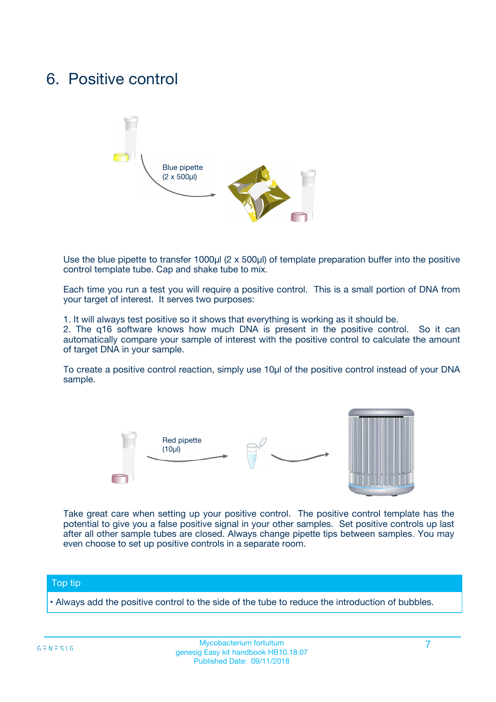### 6. Positive control



Use the blue pipette to transfer 1000µl (2 x 500µl) of template preparation buffer into the positive control template tube. Cap and shake tube to mix.

Each time you run a test you will require a positive control. This is a small portion of DNA from your target of interest. It serves two purposes:

1. It will always test positive so it shows that everything is working as it should be.

2. The q16 software knows how much DNA is present in the positive control. So it can automatically compare your sample of interest with the positive control to calculate the amount of target DNA in your sample.

To create a positive control reaction, simply use 10µl of the positive control instead of your DNA sample.



Take great care when setting up your positive control. The positive control template has the potential to give you a false positive signal in your other samples. Set positive controls up last after all other sample tubes are closed. Always change pipette tips between samples. You may even choose to set up positive controls in a separate room.

#### Top tip

**•** Always add the positive control to the side of the tube to reduce the introduction of bubbles.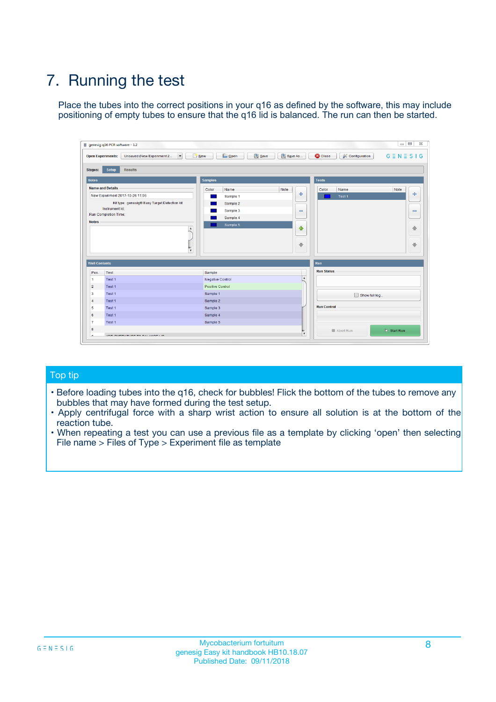## 7. Running the test

Place the tubes into the correct positions in your q16 as defined by the software, this may include positioning of empty tubes to ensure that the q16 lid is balanced. The run can then be started.

|                      | genesig q16 PCR software - 1.2                                               |                                |                              |                                          | $\begin{array}{c c c c} \hline \multicolumn{3}{c }{\textbf{0}} & \multicolumn{3}{c }{\textbf{0}} \end{array}$<br>$\Sigma\!3$ |
|----------------------|------------------------------------------------------------------------------|--------------------------------|------------------------------|------------------------------------------|------------------------------------------------------------------------------------------------------------------------------|
|                      | $\vert \cdot \vert$<br><b>Open Experiments:</b><br>Unsaved (New Experiment 2 | Open<br>Save<br>$\sqrt{9}$ New | Save As                      | <b>C</b> Close<br><b>X</b> Configuration | $G \equiv N \equiv S \mid G$                                                                                                 |
| <b>Stages:</b>       | Setup<br><b>Results</b>                                                      |                                |                              |                                          |                                                                                                                              |
| <b>Notes</b>         |                                                                              | <b>Samples</b>                 |                              | <b>Tests</b>                             |                                                                                                                              |
|                      | <b>Name and Details</b>                                                      | Color<br>Name                  | Note                         | Color<br>Name                            | Note                                                                                                                         |
|                      | New Experiment 2017-10-26 11:06                                              | Sample 1                       | ÷                            | Test 1                                   | ÷                                                                                                                            |
|                      | Kit type: genesig® Easy Target Detection kit                                 | Sample 2                       |                              |                                          |                                                                                                                              |
|                      | Instrument Id.:                                                              | Sample 3                       | $\qquad \qquad \blacksquare$ |                                          | $\qquad \qquad \blacksquare$                                                                                                 |
|                      | <b>Run Completion Time:</b>                                                  | Sample 4                       |                              |                                          |                                                                                                                              |
| <b>Notes</b>         | <b>A</b><br>v                                                                | Sample 5                       | $\triangle$<br>$\oplus$      |                                          | 4<br>₩                                                                                                                       |
| <b>Well Contents</b> |                                                                              |                                |                              | Run                                      |                                                                                                                              |
| Pos.                 | Test                                                                         | Sample                         |                              | <b>Run Status</b>                        |                                                                                                                              |
| $\overline{1}$       | Test 1                                                                       | <b>Negative Control</b>        | $\blacktriangle$             |                                          |                                                                                                                              |
| $\overline{2}$       | Test 1                                                                       | <b>Positive Control</b>        |                              |                                          |                                                                                                                              |
| 3                    | Test 1                                                                       | Sample 1                       |                              | Show full log                            |                                                                                                                              |
| $\overline{4}$       | Test 1                                                                       | Sample 2                       |                              |                                          |                                                                                                                              |
| 5                    | Test 1                                                                       | Sample 3                       |                              | <b>Run Control</b>                       |                                                                                                                              |
| 6                    | Test 1                                                                       | Sample 4                       |                              |                                          |                                                                                                                              |
| $\overline{7}$       | Test 1                                                                       | Sample 5                       |                              |                                          |                                                                                                                              |
| -8                   |                                                                              |                                |                              | Abort Run                                | $\triangleright$ Start Run                                                                                                   |
|                      | <b>JOB FURTY TURE TO BULLMAR LIB</b>                                         |                                | $\overline{\mathbf{v}}$      |                                          |                                                                                                                              |

#### Top tip

- Before loading tubes into the q16, check for bubbles! Flick the bottom of the tubes to remove any bubbles that may have formed during the test setup.
- Apply centrifugal force with a sharp wrist action to ensure all solution is at the bottom of the reaction tube.
- When repeating a test you can use a previous file as a template by clicking 'open' then selecting File name > Files of Type > Experiment file as template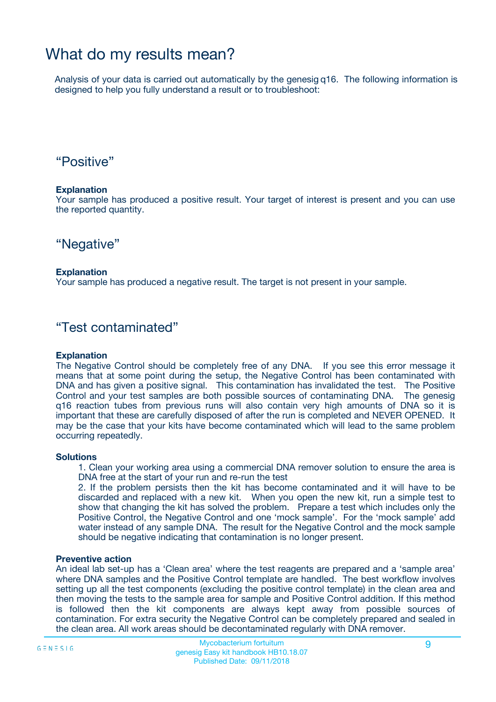### What do my results mean?

Analysis of your data is carried out automatically by the genesig q16. The following information is designed to help you fully understand a result or to troubleshoot:

### "Positive"

#### **Explanation**

Your sample has produced a positive result. Your target of interest is present and you can use the reported quantity.

"Negative"

#### **Explanation**

Your sample has produced a negative result. The target is not present in your sample.

### "Test contaminated"

#### **Explanation**

The Negative Control should be completely free of any DNA. If you see this error message it means that at some point during the setup, the Negative Control has been contaminated with DNA and has given a positive signal. This contamination has invalidated the test. The Positive Control and your test samples are both possible sources of contaminating DNA. The genesig q16 reaction tubes from previous runs will also contain very high amounts of DNA so it is important that these are carefully disposed of after the run is completed and NEVER OPENED. It may be the case that your kits have become contaminated which will lead to the same problem occurring repeatedly.

#### **Solutions**

1. Clean your working area using a commercial DNA remover solution to ensure the area is DNA free at the start of your run and re-run the test

2. If the problem persists then the kit has become contaminated and it will have to be discarded and replaced with a new kit. When you open the new kit, run a simple test to show that changing the kit has solved the problem. Prepare a test which includes only the Positive Control, the Negative Control and one 'mock sample'. For the 'mock sample' add water instead of any sample DNA. The result for the Negative Control and the mock sample should be negative indicating that contamination is no longer present.

#### **Preventive action**

An ideal lab set-up has a 'Clean area' where the test reagents are prepared and a 'sample area' where DNA samples and the Positive Control template are handled. The best workflow involves setting up all the test components (excluding the positive control template) in the clean area and then moving the tests to the sample area for sample and Positive Control addition. If this method is followed then the kit components are always kept away from possible sources of contamination. For extra security the Negative Control can be completely prepared and sealed in the clean area. All work areas should be decontaminated regularly with DNA remover.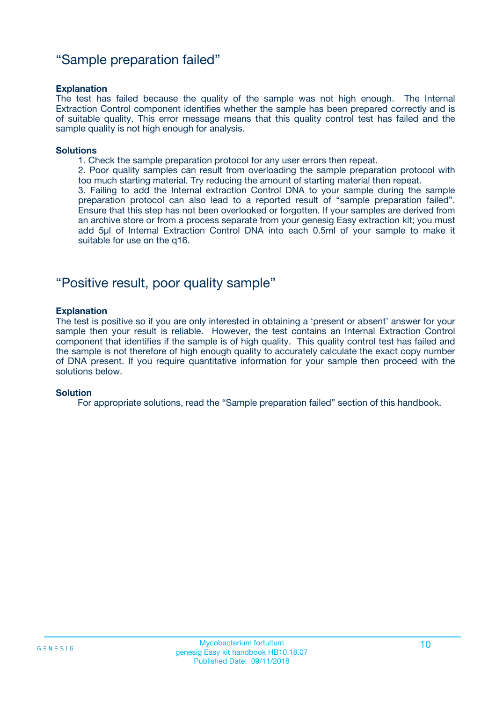### "Sample preparation failed"

#### **Explanation**

The test has failed because the quality of the sample was not high enough. The Internal Extraction Control component identifies whether the sample has been prepared correctly and is of suitable quality. This error message means that this quality control test has failed and the sample quality is not high enough for analysis.

#### **Solutions**

1. Check the sample preparation protocol for any user errors then repeat.

2. Poor quality samples can result from overloading the sample preparation protocol with too much starting material. Try reducing the amount of starting material then repeat.

3. Failing to add the Internal extraction Control DNA to your sample during the sample preparation protocol can also lead to a reported result of "sample preparation failed". Ensure that this step has not been overlooked or forgotten. If your samples are derived from an archive store or from a process separate from your genesig Easy extraction kit; you must add 5µl of Internal Extraction Control DNA into each 0.5ml of your sample to make it suitable for use on the q16.

### "Positive result, poor quality sample"

#### **Explanation**

The test is positive so if you are only interested in obtaining a 'present or absent' answer for your sample then your result is reliable. However, the test contains an Internal Extraction Control component that identifies if the sample is of high quality. This quality control test has failed and the sample is not therefore of high enough quality to accurately calculate the exact copy number of DNA present. If you require quantitative information for your sample then proceed with the solutions below.

#### **Solution**

For appropriate solutions, read the "Sample preparation failed" section of this handbook.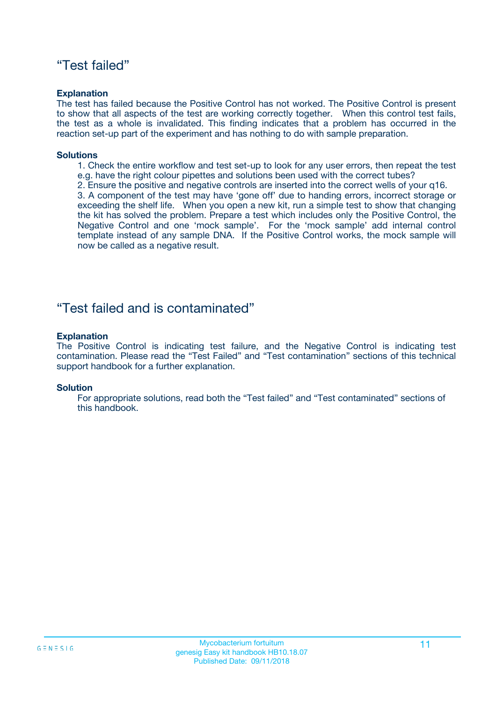### "Test failed"

#### **Explanation**

The test has failed because the Positive Control has not worked. The Positive Control is present to show that all aspects of the test are working correctly together. When this control test fails, the test as a whole is invalidated. This finding indicates that a problem has occurred in the reaction set-up part of the experiment and has nothing to do with sample preparation.

#### **Solutions**

- 1. Check the entire workflow and test set-up to look for any user errors, then repeat the test e.g. have the right colour pipettes and solutions been used with the correct tubes?
- 2. Ensure the positive and negative controls are inserted into the correct wells of your q16.

3. A component of the test may have 'gone off' due to handing errors, incorrect storage or exceeding the shelf life. When you open a new kit, run a simple test to show that changing the kit has solved the problem. Prepare a test which includes only the Positive Control, the Negative Control and one 'mock sample'. For the 'mock sample' add internal control template instead of any sample DNA. If the Positive Control works, the mock sample will now be called as a negative result.

### "Test failed and is contaminated"

#### **Explanation**

The Positive Control is indicating test failure, and the Negative Control is indicating test contamination. Please read the "Test Failed" and "Test contamination" sections of this technical support handbook for a further explanation.

#### **Solution**

For appropriate solutions, read both the "Test failed" and "Test contaminated" sections of this handbook.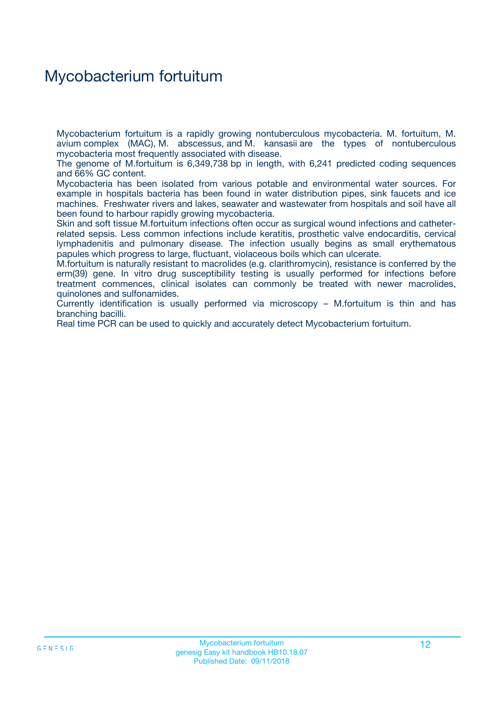### Mycobacterium fortuitum

Mycobacterium fortuitum is a rapidly growing nontuberculous mycobacteria. M. fortuitum, M. avium complex (MAC), M. abscessus, and M. kansasii are the types of nontuberculous mycobacteria most frequently associated with disease.

The genome of M.fortuitum is 6,349,738 bp in length, with 6,241 predicted coding sequences and 66% GC content.

Mycobacteria has been isolated from various potable and environmental water sources. For example in hospitals bacteria has been found in water distribution pipes, sink faucets and ice machines. Freshwater rivers and lakes, seawater and wastewater from hospitals and soil have all been found to harbour rapidly growing mycobacteria.

Skin and soft tissue M.fortuitum infections often occur as surgical wound infections and catheterrelated sepsis. Less common infections include keratitis, prosthetic valve endocarditis, cervical lymphadenitis and pulmonary disease. The infection usually begins as small erythematous papules which progress to large, fluctuant, violaceous boils which can ulcerate.

M.fortuitum is naturally resistant to macrolides (e.g. clarithromycin), resistance is conferred by the erm(39) gene. In vitro drug susceptibility testing is usually performed for infections before treatment commences, clinical isolates can commonly be treated with newer macrolides, quinolones and sulfonamides.

Currently identification is usually performed via microscopy – M.fortuitum is thin and has branching bacilli.

Real time PCR can be used to quickly and accurately detect Mycobacterium fortuitum.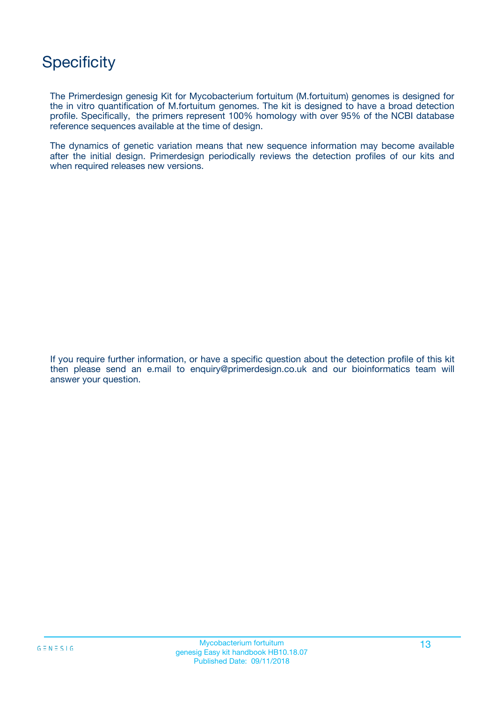## **Specificity**

The Primerdesign genesig Kit for Mycobacterium fortuitum (M.fortuitum) genomes is designed for the in vitro quantification of M.fortuitum genomes. The kit is designed to have a broad detection profile. Specifically, the primers represent 100% homology with over 95% of the NCBI database reference sequences available at the time of design.

The dynamics of genetic variation means that new sequence information may become available after the initial design. Primerdesign periodically reviews the detection profiles of our kits and when required releases new versions.

If you require further information, or have a specific question about the detection profile of this kit then please send an e.mail to enquiry@primerdesign.co.uk and our bioinformatics team will answer your question.